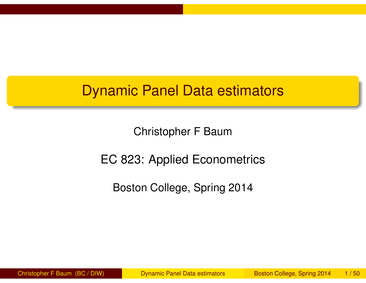# Dynamic Panel Data estimators

Christopher F Baum

#### EC 823: Applied Econometrics

Boston College, Spring 2014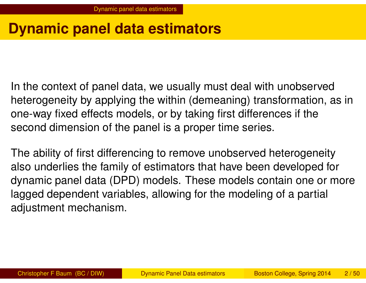# **Dynamic panel data estimators**

In the context of panel data, we usually must deal with unobserved heterogeneity by applying the within (demeaning) transformation, as in one-way fixed effects models, or by taking first differences if the second dimension of the panel is a proper time series.

<span id="page-1-0"></span>The a[bility of fi](#page-1-0)rst differencing to remove unobserved heterogeneity also underlies the family of estimators that have been developed for dynamic panel data (DPD) models. These models contain one or more lagged dependent variables, allowing for the modeling of a partial adjustment mechanism.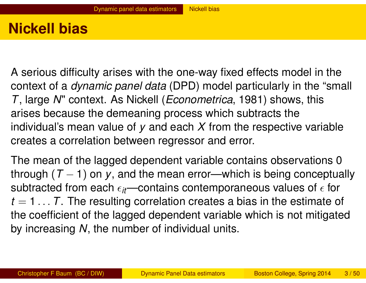# **Nickell bias**

A serious difficulty arises with the one-way fixed effects model in the context of a *dynamic panel data* (DPD) model particularly in the "small *T*, large *N*" context. As Nickell (*Econometrica*, 1981) shows, this arises because the demeaning process which subtracts the individual's mean value of *y* and each *X* from the respective variable creates a correlation between regressor and error.

<span id="page-2-0"></span>The m[ean of the la](#page-2-0)gged dependent variable contains observations 0 through  $(T - 1)$  on y, and the mean error—which is being conceptually subtracted from each  $\epsilon_{it}$ —contains contemporaneous values of  $\epsilon$  for *t* = 1 . . . *T*. The resulting correlation creates a bias in the estimate of the coefficient of the lagged dependent variable which is not mitigated by increasing *N*, the number of individual units.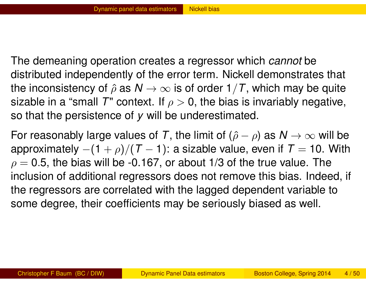The demeaning operation creates a regressor which *cannot* be distributed independently of the error term. Nickell demonstrates that the inconsistency of  $\hat{\rho}$  as  $N \to \infty$  is of order  $1/T$ , which may be quite sizable in a "small T" context. If  $\rho > 0$ , the bias is invariably negative, so that the persistence of *y* will be underestimated.

<span id="page-3-0"></span>For reasonably large values of *T*, the limit of  $(\hat{\rho} - \rho)$  as  $N \to \infty$  will be approximately  $-(1 + \rho)/(T - 1)$ : a sizable value, even if  $T = 10$ . With  $\rho = 0.5$ , [the](#page-3-0) [bias](#page-3-0) [w](#page-3-0)ill be -0.167, or about 1/3 of the true value. The inclusion of additional regressors does not remove this bias. Indeed, if the regressors are correlated with the lagged dependent variable to some degree, their coefficients may be seriously biased as well.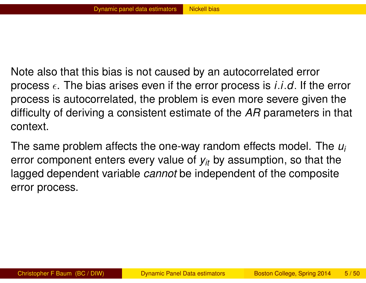Note also that this bias is not caused by an autocorrelated error process  $\epsilon$ . The bias arises even if the error process is *i.i.d.* If the error process is autocorrelated, the problem is even more severe given the difficulty of deriving a consistent estimate of the *AR* parameters in that context.

<span id="page-4-0"></span>The same problem affects the one-way random effects model. The *u<sup>i</sup>* error [component en](#page-4-0)ters every value of *yit* by assumption, so that the lagged dependent variable *cannot* be independent of the composite error process.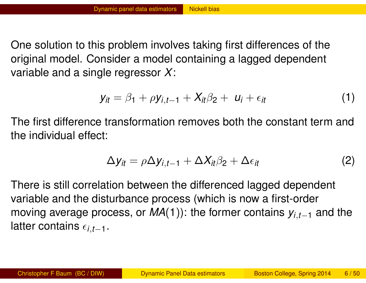One solution to this problem involves taking first differences of the original model. Consider a model containing a lagged dependent variable and a single regressor *X*:

$$
y_{it} = \beta_1 + \rho y_{i,t-1} + X_{it}\beta_2 + u_i + \epsilon_{it}
$$
 (1)

The first difference transformation removes both the constant term and the individual effect:

$$
\Delta y_{it} = \rho \Delta y_{i,t-1} + \Delta X_{it} \beta_2 + \Delta \epsilon_{it}
$$
 (2)

There is still correlation between the differenced lagged dependent variable and the disturbance process (which is now a first-order moving average process, or *MA*(1)): the former contains *yi*,*t*−<sup>1</sup> and the latter contains  $\epsilon_{i,t-1}$ .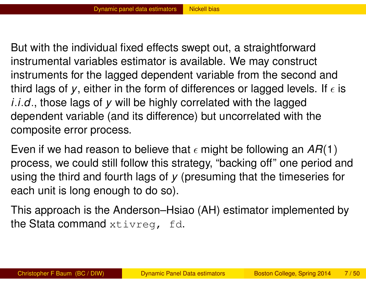But with the individual fixed effects swept out, a straightforward instrumental variables estimator is available. We may construct instruments for the lagged dependent variable from the second and third lags of y, either in the form of differences or lagged levels. If  $\epsilon$  is *i*.*i*.*d*., those lags of *y* will be highly correlated with the lagged dependent variable (and its difference) but uncorrelated with the composite error process.

Even if we had reason to believe that  $\epsilon$  might be following an  $AR(1)$ proce[ss,](#page-6-0) [we](#page-6-0) [could](#page-6-0) still follow this strategy, "backing off" one period and using the third and fourth lags of *y* (presuming that the timeseries for each unit is long enough to do so).

<span id="page-6-0"></span>This approach is the Anderson–Hsiao (AH) estimator implemented by the Stata command xtivreg, fd.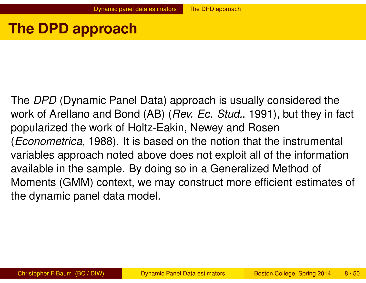### **The DPD approach**

<span id="page-7-0"></span>The *DPD* (Dynamic Panel Data) approach is usually considered the work of Arellano and Bond (AB) (*Rev. Ec. Stud.*, 1991), but they in fact popularized the work of Holtz-Eakin, Newey and Rosen (*Econometrica*, 1988). It is based on the notion that the instrumental variab[les approach n](#page-7-0)oted above does not exploit all of the information available in the sample. By doing so in a Generalized Method of Moments (GMM) context, we may construct more efficient estimates of the dynamic panel data model.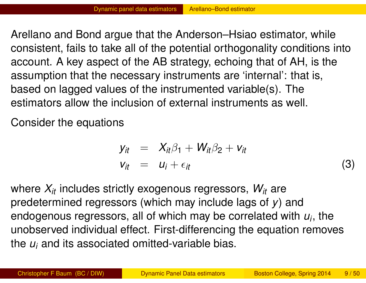Arellano and Bond argue that the Anderson–Hsiao estimator, while consistent, fails to take all of the potential orthogonality conditions into account. A key aspect of the AB strategy, echoing that of AH, is the assumption that the necessary instruments are 'internal': that is, based on lagged values of the instrumented variable(s). The estimators allow the inclusion of external instruments as well.

Consider the equations

$$
y_{it} = X_{it}\beta_1 + W_{it}\beta_2 + v_{it}
$$
  
\n
$$
v_{it} = u_i + \epsilon_{it}
$$
 (3)

where *Xit* includes strictly exogenous regressors, *Wit* are predetermined regressors (which may include lags of *y*) and endogenous regressors, all of which may be correlated with *u<sup>i</sup>* , the unobserved individual effect. First-differencing the equation removes the *u<sup>i</sup>* and its associated omitted-variable bias.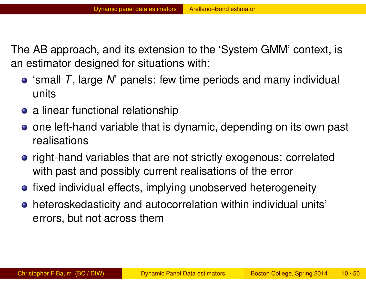The AB approach, and its extension to the 'System GMM' context, is an estimator designed for situations with:

- 'small *T*, large *N*' panels: few time periods and many individual units
- a linear functional relationship
- one left-hand variable that is dynamic, depending on its own past realisations
- ri[ght-hand](#page-9-0) [variabl](#page-9-0)es that are not strictly exogenous: correlated with past and possibly current realisations of the error
- fixed individual effects, implying unobserved heterogeneity
- <span id="page-9-0"></span>heteroskedasticity and autocorrelation within individual units' errors, but not across them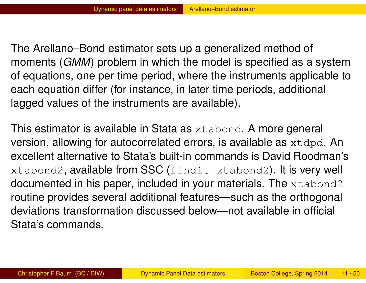The Arellano–Bond estimator sets up a generalized method of moments (*GMM*) problem in which the model is specified as a system of equations, one per time period, where the instruments applicable to each equation differ (for instance, in later time periods, additional lagged values of the instruments are available).

<span id="page-10-0"></span>This estimator is available in Stata as xtabond. A more general version, allowing for autocorrelated errors, is available as  $xtdpd$ . An excell[ent alternative to](#page-10-0) Stata's built-in commands is David Roodman's xtabond2, available from SSC (findit xtabond2). It is very well documented in his paper, included in your materials. The xtabond2 routine provides several additional features—such as the orthogonal deviations transformation discussed below—not available in official Stata's commands.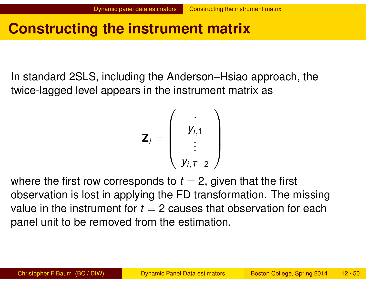# **Constructing the instrument matrix**

In standard 2SLS, including the Anderson–Hsiao approach, the twice-lagged level appears in the instrument matrix as

$$
\mathbf{Z}_i = \left(\begin{array}{c} \cdot \\ y_{i,1} \\ \vdots \\ y_{i,T-2} \end{array}\right)
$$

where the first row corresponds to  $t = 2$ , given that the first observation is lost in applying the FD transformation. The missing value in the instrument for  $t = 2$  causes that observation for each panel unit to be removed from the estimation.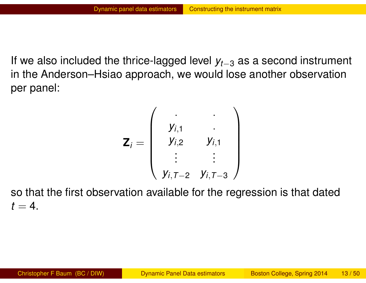If we also included the thrice-lagged level *yt*−<sup>3</sup> as a second instrument in the Anderson–Hsiao approach, we would lose another observation per panel:

$$
\mathbf{Z}_{i} = \left(\begin{array}{ccc} \cdot & \cdot & \cdot \\ y_{i,1} & \cdot & \cdot \\ y_{i,2} & y_{i,1} \\ \vdots & \vdots & \cdot \\ y_{i,T-2} & y_{i,T-3} \end{array}\right)
$$

so that the first observation available for the regression is that dated  $t = 4$ .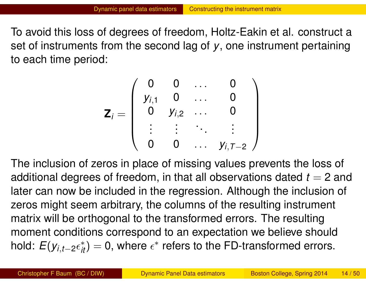To avoid this loss of degrees of freedom, Holtz-Eakin et al. construct a set of instruments from the second lag of *y*, one instrument pertaining to each time period:

$$
\mathbf{Z}_{i} = \left(\begin{array}{cccc} 0 & 0 & \dots & 0 \\ y_{i,1} & 0 & \dots & 0 \\ 0 & y_{i,2} & \dots & 0 \\ \vdots & \vdots & \ddots & \vdots \\ 0 & 0 & \dots & y_{i,T-2} \end{array}\right)
$$

<span id="page-13-0"></span>The in[clusion](#page-13-0) [of](#page-13-0) [zeros](#page-13-0) [in](#page-13-0) place of missing values prevents the loss of additional degrees of freedom, in that all observations dated  $t = 2$  and later can now be included in the regression. Although the inclusion of zeros might seem arbitrary, the columns of the resulting instrument matrix will be orthogonal to the transformed errors. The resulting moment conditions correspond to an expectation we believe should hold:  $E(y_{i,t-2} \epsilon_{it}^*) = 0$ , where  $\epsilon^*$  refers to the FD-transformed errors.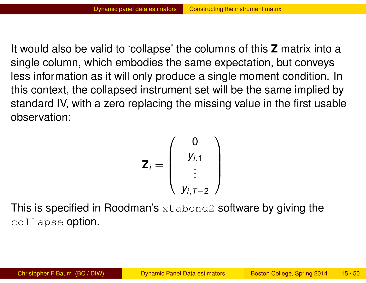It would also be valid to 'collapse' the columns of this **Z** matrix into a single column, which embodies the same expectation, but conveys less information as it will only produce a single moment condition. In this context, the collapsed instrument set will be the same implied by standard IV, with a zero replacing the missing value in the first usable observation:

$$
\mathbf{Z}_i = \left(\begin{array}{c}0\\y_{i,1}\\ \vdots\\y_{i,T-2}\end{array}\right)
$$

This is specified in Roodman's xtabond2 software by giving the collapse option.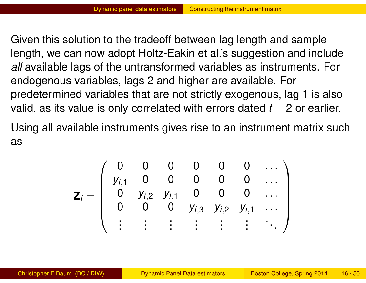Given this solution to the tradeoff between lag length and sample length, we can now adopt Holtz-Eakin et al.'s suggestion and include *all* available lags of the untransformed variables as instruments. For endogenous variables, lags 2 and higher are available. For predetermined variables that are not strictly exogenous, lag 1 is also valid, as its value is only correlated with errors dated  $t - 2$  or earlier.

Using all available instruments gives rise to an instrument matrix such as

<span id="page-15-0"></span>
$$
\mathbf{Z}_{i} = \left(\begin{array}{ccccc} 0 & 0 & 0 & 0 & 0 & 0 & \dots \\ y_{i,1} & 0 & 0 & 0 & 0 & 0 & \dots \\ 0 & y_{i,2} & y_{i,1} & 0 & 0 & 0 & \dots \\ 0 & 0 & 0 & y_{i,3} & y_{i,2} & y_{i,1} & \dots \\ \vdots & \vdots & \vdots & \vdots & \vdots & \vdots & \vdots \end{array}\right)
$$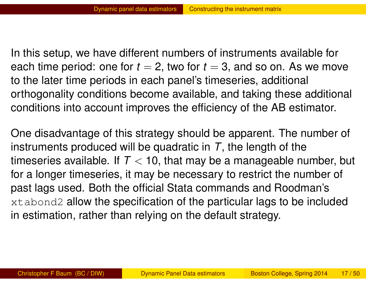In this setup, we have different numbers of instruments available for each time period: one for  $t = 2$ , two for  $t = 3$ , and so on. As we move to the later time periods in each panel's timeseries, additional orthogonality conditions become available, and taking these additional conditions into account improves the efficiency of the AB estimator.

<span id="page-16-0"></span>One disadvantage of this strategy should be apparent. The number of instruments produced will be quadratic in *T*, the length of the times[eries ava](#page-16-0)i[lable. If](#page-16-0)  $T < 10$ , that may be a manageable number, but for a longer timeseries, it may be necessary to restrict the number of past lags used. Both the official Stata commands and Roodman's xtabond2 allow the specification of the particular lags to be included in estimation, rather than relying on the default strategy.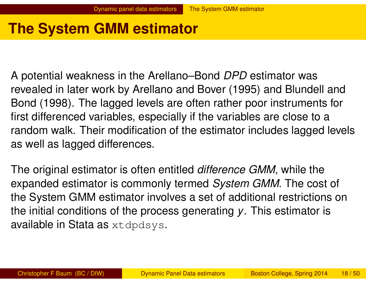# **The System GMM estimator**

A potential weakness in the Arellano–Bond *DPD* estimator was revealed in later work by Arellano and Bover (1995) and Blundell and Bond (1998). The lagged levels are often rather poor instruments for first differenced variables, especially if the variables are close to a random walk. Their modification of the estimator includes lagged levels as well as lagged differences.

The original estimator is often entitled *difference GMM*, while the expanded estimator is commonly termed *System GMM*. The cost of the System GMM estimator involves a set of additional restrictions on the initial conditions of the process generating *y*. This estimator is available in Stata as xtdpdsys.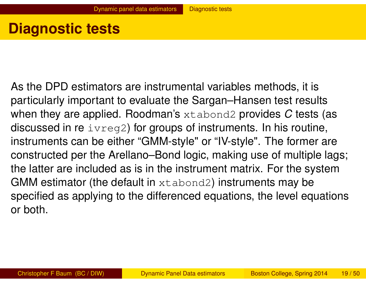# **Diagnostic tests**

<span id="page-18-0"></span>As the DPD estimators are instrumental variables methods, it is particularly important to evaluate the Sargan–Hansen test results when they are applied. Roodman's xtabond2 provides *C* tests (as discussed in re  $\text{irreg2}$ ) for groups of instruments. In his routine, instruments can be either "GMM-style" or "IV-style". The former are constr[ucted per the](#page-18-0) Arellano–Bond logic, making use of multiple lags; the latter are included as is in the instrument matrix. For the system GMM estimator (the default in xtabond2) instruments may be specified as applying to the differenced equations, the level equations or both.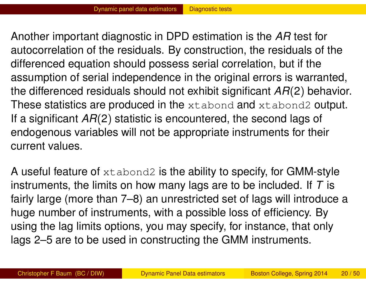Another important diagnostic in DPD estimation is the *AR* test for autocorrelation of the residuals. By construction, the residuals of the differenced equation should possess serial correlation, but if the assumption of serial independence in the original errors is warranted, the differenced residuals should not exhibit significant *AR*(2) behavior. These statistics are produced in the xtabond and xtabond2 output. If a significant *AR*(2) statistic is encountered, the second lags of endogenous variables will not be appropriate instruments for their current values.

A useful feature of  $x$ tabond2 is the ability to specify, for GMM-style instruments, the limits on how many lags are to be included. If *T* is fairly large (more than 7–8) an unrestricted set of lags will introduce a huge number of instruments, with a possible loss of efficiency. By using the lag limits options, you may specify, for instance, that only lags 2–5 are to be used in constructing the GMM instruments.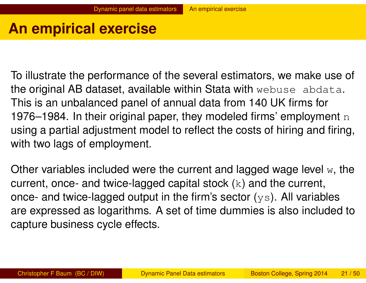# **An empirical exercise**

To illustrate the performance of the several estimators, we make use of the original AB dataset, available within Stata with webuse abdata. This is an unbalanced panel of annual data from 140 UK firms for 1976–1984. In their original paper, they modeled firms' employment  $n$ using a partial adjustment model to reflect the costs of hiring and firing, with two lags of employment.

Other variables included were the current and lagged wage level  $w$ , the current, once- and twice-lagged capital stock  $(k)$  and the current, once- and twice-lagged output in the firm's sector  $(ys)$ . All variables are expressed as logarithms. A set of time dummies is also included to capture business cycle effects.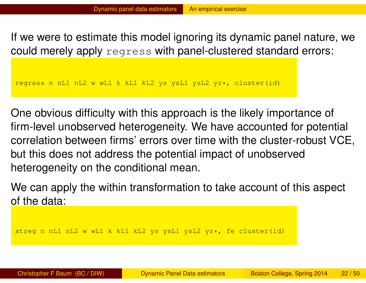If we were to estimate this model ignoring its dynamic panel nature, we could merely apply regress with panel-clustered standard errors:

regress n nL1 nL2 w wL1 k kL1 kL2 ys ysL1 ysL2 yr\*, cluster(id)

One obvious difficulty with this approach is the likely importance of firm-level unobserved heterogeneity. We have accounted for potential correlation between firms' errors over time with the cluster-robust VCE, but thi[s does not addr](#page-21-0)ess the potential impact of unobserved heterogeneity on the conditional mean.

We can apply the within transformation to take account of this aspect of the data:

<span id="page-21-0"></span>xtreg n nL1 nL2 w wL1 k kL1 kL2 ys ysL1 ysL2 yr\*, fe cluster(id)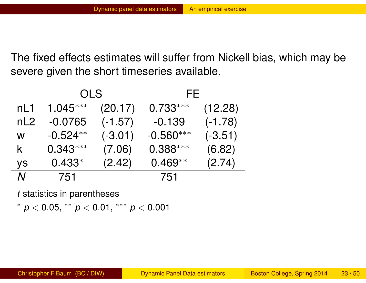The fixed effects estimates will suffer from Nickell bias, which may be severe given the short timeseries available.

|     | OLS        |           | FF.         |           |  |  |
|-----|------------|-----------|-------------|-----------|--|--|
| nL1 | $1.045***$ | (20.17)   | $0.733***$  | (12.28)   |  |  |
| nL2 | $-0.0765$  | $(-1.57)$ | $-0.139$    | $(-1.78)$ |  |  |
| W   | $-0.524**$ | $(-3.01)$ | $-0.560***$ | $(-3.51)$ |  |  |
| k.  | $0.343***$ | (7.06)    | $0.388***$  | (6.82)    |  |  |
| ys  | $0.433*$   | (2.42)    | $0.469**$   | (2.74)    |  |  |
|     | 751        |           | 751         |           |  |  |

*t* statistics in parentheses

<span id="page-22-0"></span>∗ *p* < 0.05, ∗∗ *p* < 0.01, ∗∗∗ *p* < 0.001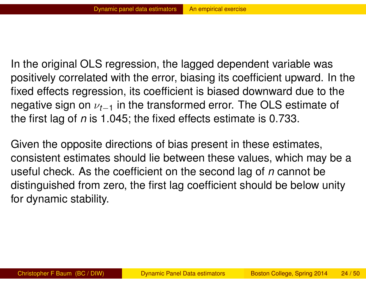In the original OLS regression, the lagged dependent variable was positively correlated with the error, biasing its coefficient upward. In the fixed effects regression, its coefficient is biased downward due to the negative sign on  $\nu_{t-1}$  in the transformed error. The OLS estimate of the first lag of *n* is 1.045; the fixed effects estimate is 0.733.

<span id="page-23-0"></span>Given the opposite directions of bias present in these estimates, consis[tent estimates](#page-23-0) should lie between these values, which may be a useful check. As the coefficient on the second lag of *n* cannot be distinguished from zero, the first lag coefficient should be below unity for dynamic stability.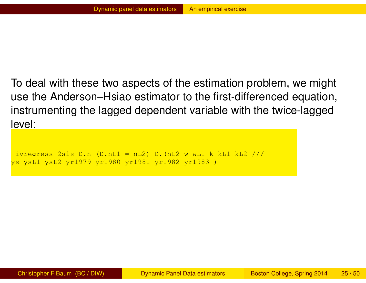To deal with these two aspects of the estimation problem, we might use the Anderson–Hsiao estimator to the first-differenced equation, instrumenting the lagged dependent variable with the twice-lagged level:

```
ivregress 2sls D.n (D.nL1 = nL2) D.(nL2 w wL1 k kL1 kL2 ///
ys ysL1 ysL2 yr1979 yr1980 yr1981 yr1982 yr1983 )
```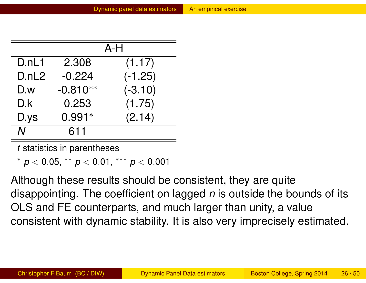|       |            | $A-H$     |
|-------|------------|-----------|
| D.nL1 | 2.308      | (1.17)    |
| D.nL2 | $-0.224$   | $(-1.25)$ |
| D.w   | $-0.810**$ | $(-3.10)$ |
| D.k   | 0.253      | (1.75)    |
| D.ys  | $0.991*$   | (2.14)    |
| N     | 611        |           |

*t* statistics in parentheses

∗ *p* < 0.[05,](#page-25-0) ∗∗ *p* < 0.[01,](#page-25-0) ∗∗∗ *p* < 0.001

<span id="page-25-0"></span>Although these results should be consistent, they are quite disappointing. The coefficient on lagged *n* is outside the bounds of its OLS and FE counterparts, and much larger than unity, a value consistent with dynamic stability. It is also very imprecisely estimated.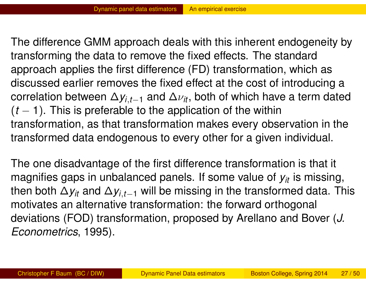The difference GMM approach deals with this inherent endogeneity by transforming the data to remove the fixed effects. The standard approach applies the first difference (FD) transformation, which as discussed earlier removes the fixed effect at the cost of introducing a correlation between  $\Delta y_{i,t-1}$  and  $\Delta \nu_{it}$ , both of which have a term dated  $(t - 1)$ . This is preferable to the application of the within transformation, as that transformation makes every observation in the transformed data endogenous to every other for a given individual.

<span id="page-26-0"></span>The o[ne](#page-26-0) [disadvantag](#page-26-0)e of the first difference transformation is that it magnifies gaps in unbalanced panels. If some value of  $y_{it}$  is missing, then both  $\Delta y_{it}$  and  $\Delta y_{i,t-1}$  will be missing in the transformed data. This motivates an alternative transformation: the forward orthogonal deviations (FOD) transformation, proposed by Arellano and Bover (*J. Econometrics*, 1995).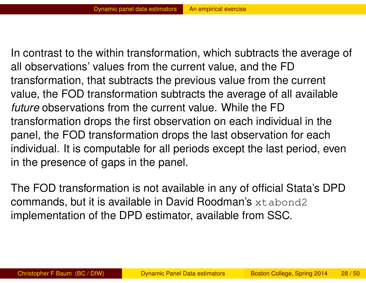In contrast to the within transformation, which subtracts the average of all observations' values from the current value, and the FD transformation, that subtracts the previous value from the current value, the FOD transformation subtracts the average of all available *future* observations from the current value. While the FD transformation drops the first observation on each individual in the panel, the FOD transformation drops the last observation for each individual. It is computable for all periods except the last period, even in the [presence](#page-27-0) [of](#page-27-0) [ga](#page-27-0)ps in the panel.

<span id="page-27-0"></span>The FOD transformation is not available in any of official Stata's DPD commands, but it is available in David Roodman's xtabond2 implementation of the DPD estimator, available from SSC.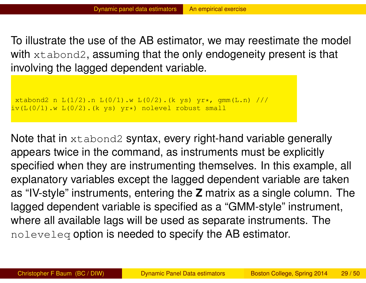To illustrate the use of the AB estimator, we may reestimate the model with xtabond2, assuming that the only endogeneity present is that involving the lagged dependent variable.

```
xtabond2 n L(1/2).n L(0/1).w L(0/2).(k ys) yr*, qmm(L.n) ///
iv(L(0/1).w L(0/2).(k ys) yr*) nolevel robust small
```
<span id="page-28-0"></span>Note that in xtabond2 syntax, every right-hand variable generally appears twice in the command, as instruments must be explicitly specifi[ed](#page-28-0) [when](#page-28-0) [they](#page-28-0) [a](#page-28-0)re instrumenting themselves. In this example, all explanatory variables except the lagged dependent variable are taken as "IV-style" instruments, entering the **Z** matrix as a single column. The lagged dependent variable is specified as a "GMM-style" instrument, where all available lags will be used as separate instruments. The noleveleq option is needed to specify the AB estimator.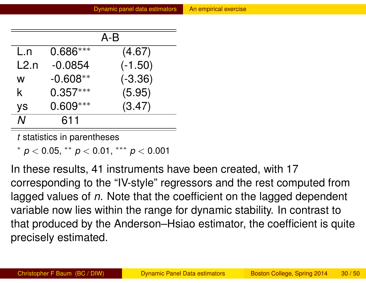|           |            | $A-B$     |
|-----------|------------|-----------|
| L.n       | $0.686***$ | (4.67)    |
| L2n       | $-0.0854$  | $(-1.50)$ |
| W         | $-0.608**$ | $(-3.36)$ |
| k.        | $0.357***$ | (5.95)    |
| <b>ys</b> | $0.609***$ | (3.47)    |
| Ν         | 611        |           |

*t* statistics in parentheses

∗ *p* < 0.05, ∗∗ *p* < 0.01, ∗∗∗ *p* < 0.001

In these results, 41 instruments have been created, with 17 corresponding to the "IV-style" regressors and the rest computed from lagged values of *n*. Note that the coefficient on the lagged dependent variable now lies within the range for dynamic stability. In contrast to that produced by the Anderson–Hsiao estimator, the coefficient is quite precisely estimated.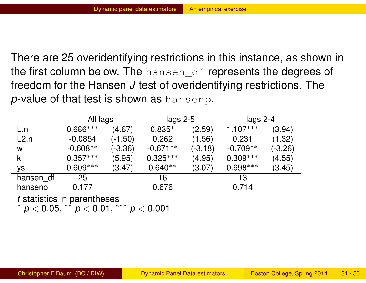There are 25 overidentifying restrictions in this instance, as shown in the first column below. The hansen\_df represents the degrees of freedom for the Hansen *J* test of overidentifying restrictions. The *p*-value of that test is shown as hansenp.

|           |            | All lags  |            | lags $2-5$ | lags $2-4$ |           |
|-----------|------------|-----------|------------|------------|------------|-----------|
| L.n       | $0.686***$ | (4.67)    | $0.835*$   | (2.59)     | $1.107***$ | (3.94)    |
| L2.n      | $-0.0854$  | $(-1.50)$ | 0.262      | (1.56)     | 0.231      | (1.32)    |
| W         | $-0.608**$ | $(-3.36)$ | $-0.671**$ | $(-3.18)$  | $-0.709**$ | $(-3.26)$ |
|           | $0.357***$ | (5.95)    | $0.325***$ | (4.95)     | $0.309***$ | (4.55)    |
| ys        | $0.609***$ | (3.47)    | $0.640**$  | (3.07)     | $0.698***$ | (3.45)    |
| hansen_df | 25         |           | 16         |            | 13         |           |
| hansenp   | 0.177      |           | 0.676      |            | 0.714      |           |

*t* statistics in parentheses

<span id="page-30-0"></span>∗ *p* < 0.05, ∗∗ *p* < 0.01, ∗∗∗ *p* < 0.001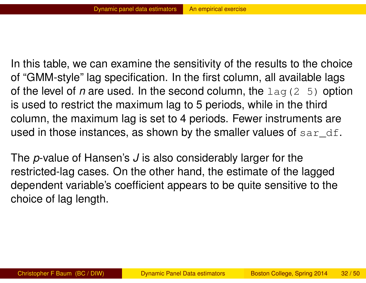In this table, we can examine the sensitivity of the results to the choice of "GMM-style" lag specification. In the first column, all available lags of the level of *n* are used. In the second column, the lag(2 5) option is used to restrict the maximum lag to 5 periods, while in the third column, the maximum lag is set to 4 periods. Fewer instruments are used in those instances, as shown by the smaller values of  $\text{sar\_df.}$ 

<span id="page-31-0"></span>The *p*[-value of](#page-31-0) [Hanse](#page-31-0)n's *J* is also considerably larger for the restricted-lag cases. On the other hand, the estimate of the lagged dependent variable's coefficient appears to be quite sensitive to the choice of lag length.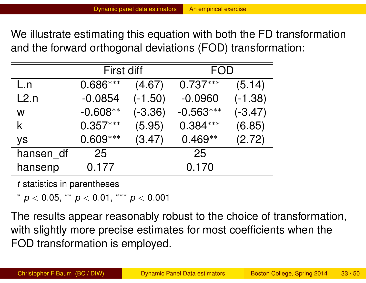We illustrate estimating this equation with both the FD transformation and the forward orthogonal deviations (FOD) transformation:

|           | <b>First diff</b> |           |             | FOD       |  |
|-----------|-------------------|-----------|-------------|-----------|--|
| L.n       | $0.686***$        | (4.67)    | $0.737***$  | (5.14)    |  |
| L2.n      | $-0.0854$         | $(-1.50)$ | $-0.0960$   | $(-1.38)$ |  |
| W         | $-0.608**$        | $(-3.36)$ | $-0.563***$ | $(-3.47)$ |  |
| k.        | $0.357***$        | (5.95)    | $0.384***$  | (6.85)    |  |
| ys        | $0.609***$        | (3.47)    | $0.469**$   | (2.72)    |  |
| hansen_df | 25                |           | 25          |           |  |
| hansenp   | 0.177             |           | 0.170       |           |  |

*t* statistics in parentheses

∗ *p* < 0.05, ∗∗ *p* < 0.01, ∗∗∗ *p* < 0.001

<span id="page-32-0"></span>The results appear reasonably robust to the choice of transformation, with slightly more precise estimates for most coefficients when the FOD transformation is employed.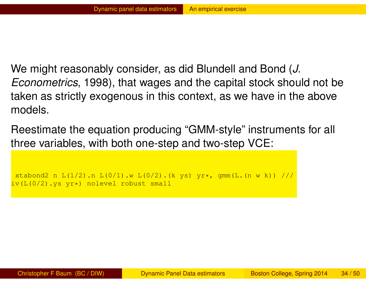We might reasonably consider, as did Blundell and Bond (*J. Econometrics*, 1998), that wages and the capital stock should not be taken as strictly exogenous in this context, as we have in the above models.

Reestimate the equation producing "GMM-style" instruments for all three variables, with both one-step and two-step VCE:

```
xtabond2 n L(1/2).n L(0/1).w L(0/2).(k ys) yr*, qmm(L.(n \le k)) ///
iv(L(0/2).ys yr*) nolevel robust small
```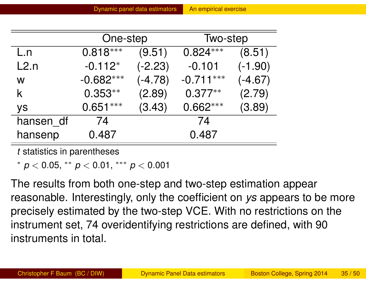|           | One-step    |           | Two-step    |           |
|-----------|-------------|-----------|-------------|-----------|
| L.n       | $0.818***$  | (9.51)    | $0.824***$  | (8.51)    |
| L2.n      | $-0.112*$   | $(-2.23)$ | $-0.101$    | $(-1.90)$ |
| W         | $-0.682***$ | $(-4.78)$ | $-0.711***$ | $(-4.67)$ |
| K         | $0.353**$   | (2.89)    | $0.377**$   | (2.79)    |
| <b>ys</b> | $0.651***$  | (3.43)    | $0.662***$  | (3.89)    |
| hansen df | 74          |           | 74          |           |
| hansenp   | 0.487       |           | 0.487       |           |

*t* statistics in parentheses

∗ *p* < 0.05, [∗∗](#page-34-0) *p* [<](#page-34-0) 0.01, ∗∗∗ *p* < 0.001

<span id="page-34-0"></span>The results from both one-step and two-step estimation appear reasonable. Interestingly, only the coefficient on *ys* appears to be more precisely estimated by the two-step VCE. With no restrictions on the instrument set, 74 overidentifying restrictions are defined, with 90 instruments in total.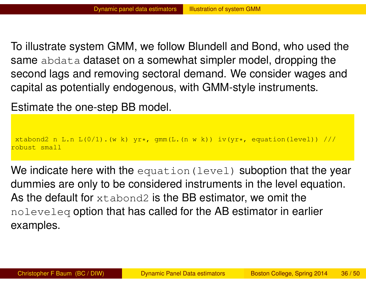To illustrate system GMM, we follow Blundell and Bond, who used the same abdata dataset on a somewhat simpler model, dropping the second lags and removing sectoral demand. We consider wages and capital as potentially endogenous, with GMM-style instruments.

Estimate the one-step BB model.

xtabond2 n L.n  $L(0/1)$ . (w k) yr\*, gmm(L. (n w k)) iv(yr\*, equation(level)) /// robust small

We indicate here with the equation (level) suboption that the year dummies are only to be considered instruments in the level equation. As the default for  $x$ tabond2 is the BB estimator, we omit the noleveleq option that has called for the AB estimator in earlier examples.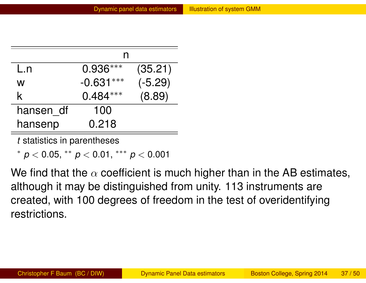| L.n       | $0.936***$  | (35.21)   |  |  |  |
|-----------|-------------|-----------|--|--|--|
| W         | $-0.631***$ | $(-5.29)$ |  |  |  |
| k.        | $0.484***$  | (8.89)    |  |  |  |
| hansen df | 100         |           |  |  |  |
| hansenp   | 0.218       |           |  |  |  |

*t* statistics in parentheses

∗ *p* < 0.[05,](#page-36-0) ∗∗ *p* < 0.[01,](#page-36-0) ∗∗∗ *p* < 0.001

<span id="page-36-0"></span>We find that the  $\alpha$  coefficient is much higher than in the AB estimates, although it may be distinguished from unity. 113 instruments are created, with 100 degrees of freedom in the test of overidentifying restrictions.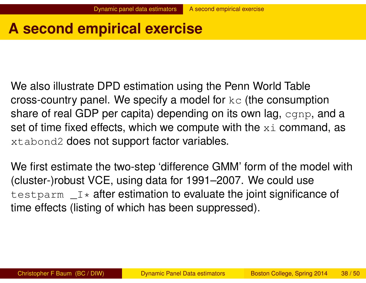# **A second empirical exercise**

We also illustrate DPD estimation using the Penn World Table cross-country panel. We specify a model for  $k\infty$  (the consumption share of real GDP per capita) depending on its own lag, cgnp, and a set of time fixed effects, which we compute with the  $x\text{ }i$  command, as xtabond2 does not support factor variables.

We first estimate the two-step 'difference GMM' form of the model with (cluster-)robust VCE, using data for 1991–2007. We could use testparm  $I^*$  after estimation to evaluate the joint significance of time effects (listing of which has been suppressed).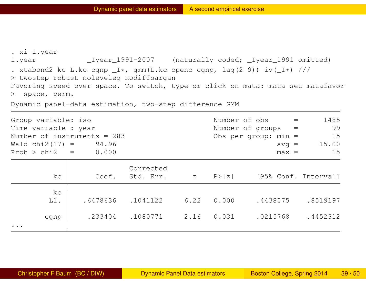. xi i.year i.year \_Iyear\_1991-2007 (naturally coded; \_Iyear\_1991 omitted) . xtabond2 kc L.kc cgnp  $I*,$  qmm(L.kc openc cgnp, lag(2 9)) iv( $I*$ ) /// > twostep robust noleveleq nodiffsargan Favoring speed over space. To switch, type or click on mata: mata set matafavor > space, perm. Dynamic panel-data estimation, two-step difference GMM

Group variable: iso  $N$  Number of obs  $=$  1485 Time variable : year  $\sqrt{99}$ Number of instruments = 283 Obs per group: min = 15  $Wald chi2(17) = 94.96$  avg = 15.00  $Prob > chi2 = 0.000$  max = 15 Corrected kc | Coef. Std. Err. z P>|z| [95% Conf. Interval] kc L1. | .6478636 .1041122 6.22 0.000 .4438075 .8519197 cgnp | .233404 .1080771 2.16 0.031 .0215768 .4452312 ...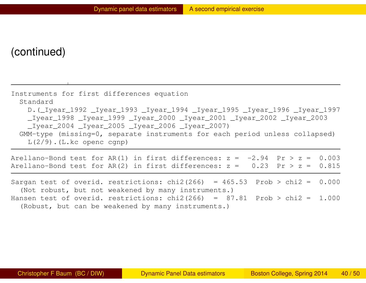#### (continued)

| Instruments for first differences equation                                  |
|-----------------------------------------------------------------------------|
| Standard                                                                    |
| D. (Liyear_1992 _Iyear_1993 _Iyear_1994 _Iyear_1995 _Iyear_1996 _Iyear_1997 |
| _Iyear_1998 _Iyear_1999 _Iyear_2000 _Iyear_2001 _Iyear_2002 _Iyear_2003     |
| $_I year_2004$ $_I year_2005$ $_I year_2006$ $_I year_2007$                 |
| GMM-type (missing=0, separate instruments for each period unless collapsed) |
| $L(2/9)$ . (L.kc openc cgnp)                                                |

| Arellano-Bond test for AR(1) in first differences: $z = -2.94$ Pr > $z = 0.003$ |  |  |  |  |  |
|---------------------------------------------------------------------------------|--|--|--|--|--|
| Arellano-Bond test for AR(2) in first differences: $z = 0.23$ Pr > $z = 0.815$  |  |  |  |  |  |

<span id="page-39-0"></span>Sargan test of overid. restrictions: chi2(266) =  $465.53$  Prob > chi2 =  $0.000$ (Not robust, but not weakened by many instruments.) Hansen test of overid. restrictions: chi2(266) =  $87.81$  Prob > chi2 = 1.000 (Robust, but can be weakened by many instruments.)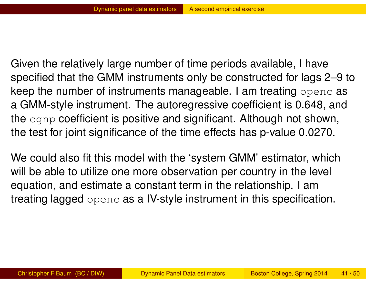Given the relatively large number of time periods available, I have specified that the GMM instruments only be constructed for lags 2–9 to keep the number of instruments manageable. I am treating openc as a GMM-style instrument. The autoregressive coefficient is 0.648, and the cgnp coefficient is positive and significant. Although not shown, the test for joint significance of the time effects has p-value 0.0270.

<span id="page-40-0"></span>We co[uld also](#page-40-0) [fit this m](#page-40-0)odel with the 'system GMM' estimator, which will be able to utilize one more observation per country in the level equation, and estimate a constant term in the relationship. I am treating lagged openc as a IV-style instrument in this specification.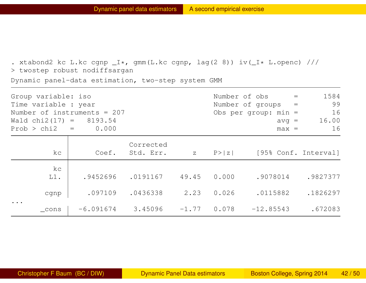. xtabond2 kc L.kc cgnp  $I*,$  gmm(L.kc cgnp, lag(2 8)) iv( $I*.$  L.openc) /// > twostep robust nodiffsargan Dynamic panel-data estimation, two-step system GMM

| Group variable: iso<br>Time variable : year |       |           |              | Number of obs =<br>Number of groups = |         | 1584<br>99                     |
|---------------------------------------------|-------|-----------|--------------|---------------------------------------|---------|--------------------------------|
|                                             |       |           |              |                                       |         |                                |
| Number of instruments = $207$               |       |           |              | Obs per group: $min =$                |         | 16                             |
| Wald chi2 $(17) = 8193.54$                  |       |           |              |                                       | $avg =$ | 16.00                          |
| $Prob > chi2 = 0.000$                       |       |           |              |                                       | $max =$ | 16                             |
|                                             |       | Corrected |              |                                       |         |                                |
| kс                                          | Coef. | Std. Err. | $\mathbf{Z}$ |                                       |         | $P >  z $ [95% Conf. Interval] |

|                                   | KC.          | COEI. |                                     |  | $SLG$ . Liff. $Z = P >  Z $ (95% Coni. Interval) |          |
|-----------------------------------|--------------|-------|-------------------------------------|--|--------------------------------------------------|----------|
|                                   | kc<br>$L1$ . |       | $.9452696$ $.0191167$ $49.45$ 0.000 |  | .9078014                                         | .9827377 |
|                                   | cgnp         |       | $.097109$ $.0436338$ $2.23$ 0.026   |  | .0115882                                         | .1826297 |
| $\bullet\quad\bullet\quad\bullet$ | cons         |       |                                     |  | $-6.091674$ 3.45096 $-1.77$ 0.078 $-12.85543$    | .672083  |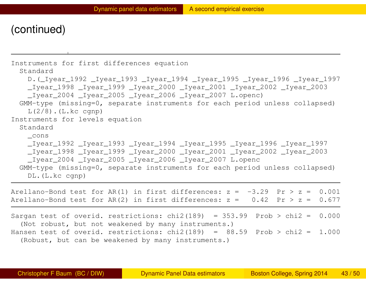#### (continued)

```
Instruments for first differences equation
 Standard
   D. ( Iyear 1992 Iyear 1993 Iyear 1994 Iyear 1995 Iyear 1996 Iyear 1997
   _Iyear_1998 _Iyear_1999 _Iyear_2000 _Iyear_2001 _Iyear_2002 _Iyear_2003
   _Iyear_2004 _Iyear_2005 _Iyear_2006 _Iyear_2007 L.openc)
  GMM-type (missing=0, separate instruments for each period unless collapsed)
   L(2/8). (L.kc cgnp)
Instruments for levels equation
 Standard
   _cons
   _Iyear_1992 _Iyear_1993 _Iyear_1994 _Iyear_1995 _Iyear_1996 _Iyear_1997
   _Iyear_1998 _Iyear_1999 _Iyear_2000 _Iyear_2001 _Iyear_2002 _Iyear_2003
   Iyear 2004 Iyear 2005 Iyear 2006 Iyear 2007 L.openc
 GMM-type (missing=0, separate instruments for each period unless collapsed)
   DL.(L.kc cgnp)
Arellano-Bond test for AR(1) in first differences: z = -3.29 Pr > z = 0.001Arellano-Bond test for AR(2) in first differences: z = 0.42 Pr > z = 0.677Sargan test of overid. restrictions: chi2(189) = 353.99 Prob > chi2 = 0.000(Not robust, but not weakened by many instruments.)
Hansen test of overid. restrictions: chi2(189) = 88.59 Prob > chi2 = 1.000
  (Robust, but can be weakened by many instruments.)
```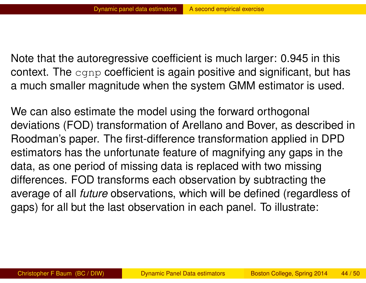Note that the autoregressive coefficient is much larger: 0.945 in this context. The cgnp coefficient is again positive and significant, but has a much smaller magnitude when the system GMM estimator is used.

<span id="page-43-0"></span>We can also estimate the model using the forward orthogonal deviations (FOD) transformation of Arellano and Bover, as described in Roodman's paper. The first-difference transformation applied in DPD estim[ators](#page-43-0) [has](#page-43-0) [the](#page-43-0) [unfo](#page-43-0)rtunate feature of magnifying any gaps in the data, as one period of missing data is replaced with two missing differences. FOD transforms each observation by subtracting the average of all *future* observations, which will be defined (regardless of gaps) for all but the last observation in each panel. To illustrate: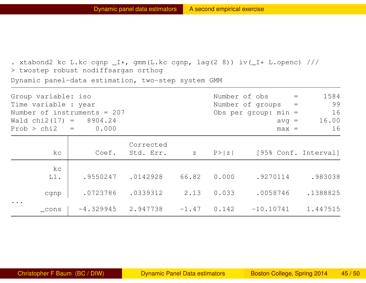. xtabond2 kc L.kc cgnp  $I*,$  gmm(L.kc cgnp, lag(2 8)) iv( $I*.$  L.openc) /// > twostep robust nodiffsargan orthog Dynamic panel-data estimation, two-step system GMM

| Group variable: iso<br>Time variable : year |                              |   | Number of obs =<br>Number of groups $=$ |                        |         | 1584<br>99           |
|---------------------------------------------|------------------------------|---|-----------------------------------------|------------------------|---------|----------------------|
| Number of instruments = $207$               |                              |   |                                         | Obs per group: $min =$ |         | 16                   |
| Wald $chi2(17) = 8904.24$                   |                              |   |                                         |                        | $avg =$ | 16.00                |
| $Prob > chi2 = 0.000$                       |                              |   |                                         |                        | $max =$ | 16                   |
| kc                                          | Corrected<br>Coef. Std. Err. | Z | P >  z                                  |                        |         | [95% Conf. Interval] |

|                                        | $\sim$       | UUUL. |                                    |             |                                                |          |
|----------------------------------------|--------------|-------|------------------------------------|-------------|------------------------------------------------|----------|
|                                        | kc<br>$L1$ . |       | $.9550247$ .0142928                | 66.82 0.000 | .9270114                                       | .983038  |
| $\bullet\quad\bullet\quad\bullet\quad$ | cgnp         |       | $.0723786$ $.0339312$ $2.13$ 0.033 |             | .0058746 .1388825                              |          |
|                                        | cons         |       |                                    |             | $-4.329945$ 2.947738 $-1.47$ 0.142 $-10.10741$ | 1.447515 |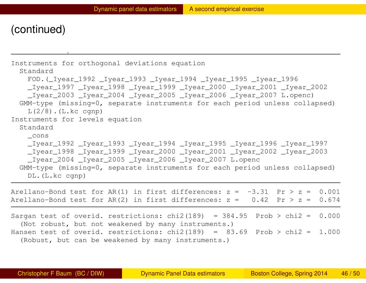#### (continued)

```
Instruments for orthogonal deviations equation
 Standard
   FOD.(_Iyear_1992 _Iyear_1993 _Iyear_1994 _Iyear_1995 _Iyear_1996
   _Iyear_1997 _Iyear_1998 _Iyear_1999 _Iyear_2000 _Iyear_2001 _Iyear_2002
   _Iyear_2003 _Iyear_2004 _Iyear_2005 _Iyear_2006 _Iyear_2007 L.openc)
  GMM-type (missing=0, separate instruments for each period unless collapsed)
    L(2/8). (L.kc cgnp)
Instruments for levels equation
  Standard
   _cons
   _Iyear_1992 _Iyear_1993 _Iyear_1994 _Iyear_1995 _Iyear_1996 _Iyear_1997
   _Iyear_1998 _Iyear_1999 _Iyear_2000 _Iyear_2001 _Iyear_2002 _Iyear_2003
   Iyear 2004 Iyear 2005 Iyear 2006 Iyear 2007 L.openc
  GMM-type (missing=0, separate instruments for each period unless collapsed)
   DL.(L.kc cgnp)
Arellano-Bond test for AR(1) in first differences: z = -3.31 Pr > z = 0.001Arellano-Bond test for AR(2) in first differences: z = 0.42 Pr > z = 0.674Sargan test of overid. restrictions: chi2(189) = 384.95 Prob > chi2 = 0.000(Not robust, but not weakened by many instruments.)
Hansen test of overid. restrictions: chi2(189) = 83.69 Prob > chi2 = 1.000
  (Robust, but can be weakened by many instruments.)
```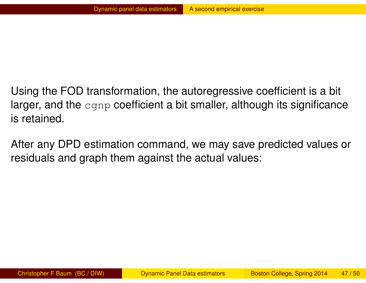Using the FOD transformation, the autoregressive coefficient is a bit larger, and the  $\text{cgnp}$  coefficient a bit smaller, although its significance is retained.

<span id="page-46-0"></span>After any DPD estimation command, we may save predicted values or residu[als and graph the](#page-46-0)m against the actual values: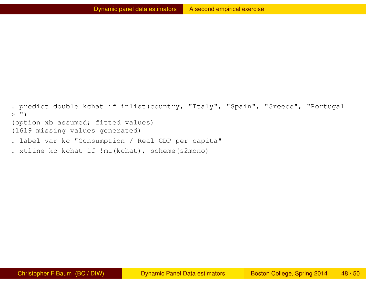. predict double kchat if inlist(country, "Italy", "Spain", "Greece", "Portugal  $>$  ") (option xb assumed; fitted values) (1619 missing values generated)

- . label var kc "Consumption / Real GDP per capita"
- . xtline kc kchat if !mi(kchat), scheme(s2mono)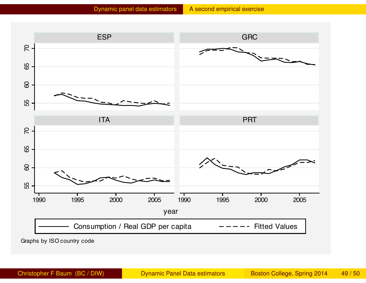

Graphs by ISO country code